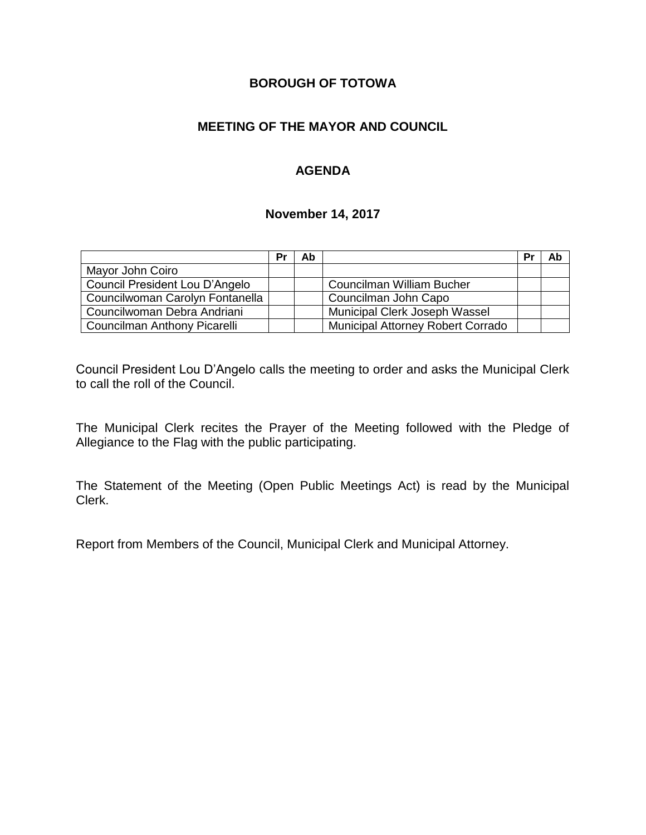# **BOROUGH OF TOTOWA**

# **MEETING OF THE MAYOR AND COUNCIL**

# **AGENDA**

#### **November 14, 2017**

|                                 | Pr | Ab |                                          | Pr | Ab |
|---------------------------------|----|----|------------------------------------------|----|----|
| Mayor John Coiro                |    |    |                                          |    |    |
| Council President Lou D'Angelo  |    |    | Councilman William Bucher                |    |    |
| Councilwoman Carolyn Fontanella |    |    | Councilman John Capo                     |    |    |
| Councilwoman Debra Andriani     |    |    | Municipal Clerk Joseph Wassel            |    |    |
| Councilman Anthony Picarelli    |    |    | <b>Municipal Attorney Robert Corrado</b> |    |    |

Council President Lou D'Angelo calls the meeting to order and asks the Municipal Clerk to call the roll of the Council.

The Municipal Clerk recites the Prayer of the Meeting followed with the Pledge of Allegiance to the Flag with the public participating.

The Statement of the Meeting (Open Public Meetings Act) is read by the Municipal Clerk.

Report from Members of the Council, Municipal Clerk and Municipal Attorney.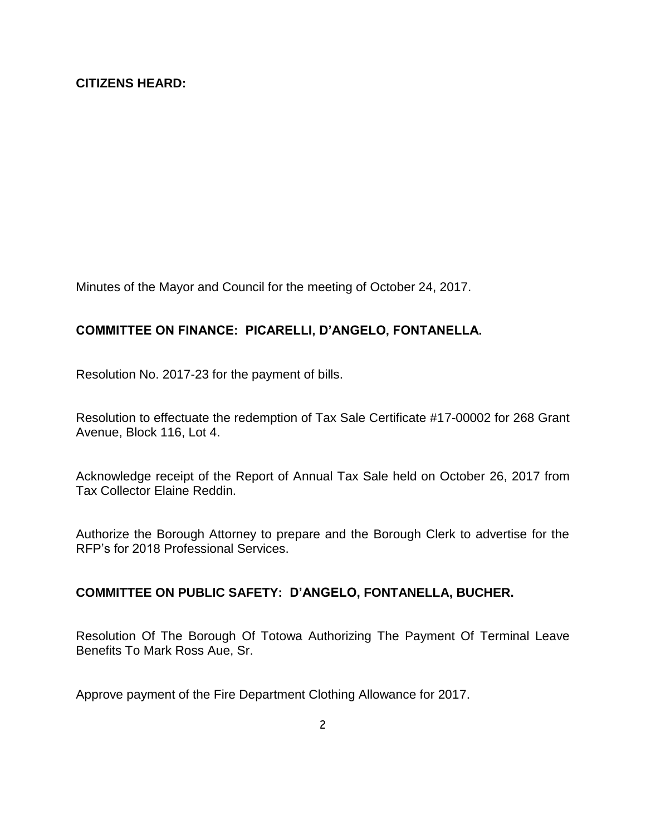Minutes of the Mayor and Council for the meeting of October 24, 2017.

#### **COMMITTEE ON FINANCE: PICARELLI, D'ANGELO, FONTANELLA.**

Resolution No. 2017-23 for the payment of bills.

Resolution to effectuate the redemption of Tax Sale Certificate #17-00002 for 268 Grant Avenue, Block 116, Lot 4.

Acknowledge receipt of the Report of Annual Tax Sale held on October 26, 2017 from Tax Collector Elaine Reddin.

Authorize the Borough Attorney to prepare and the Borough Clerk to advertise for the RFP's for 2018 Professional Services.

# **COMMITTEE ON PUBLIC SAFETY: D'ANGELO, FONTANELLA, BUCHER.**

Resolution Of The Borough Of Totowa Authorizing The Payment Of Terminal Leave Benefits To Mark Ross Aue, Sr.

Approve payment of the Fire Department Clothing Allowance for 2017.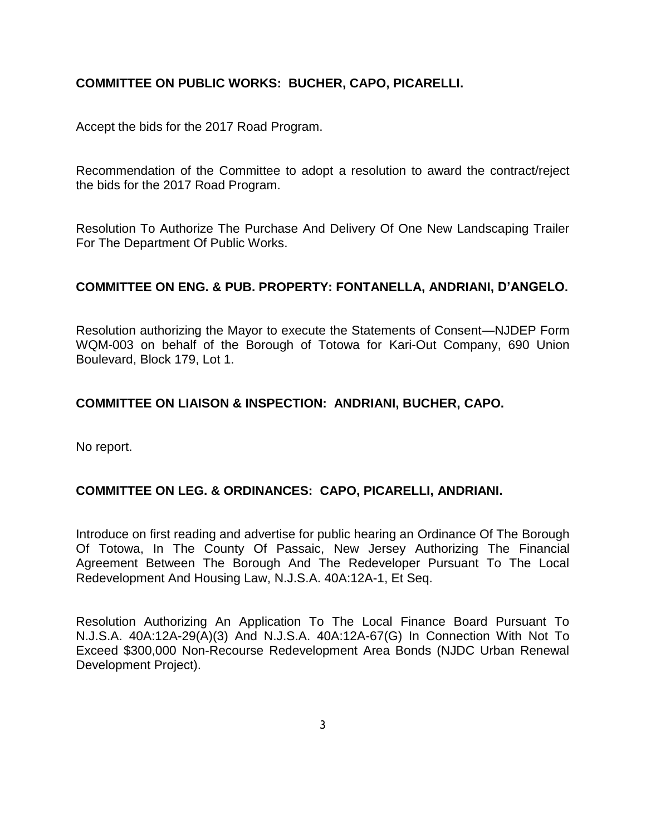# **COMMITTEE ON PUBLIC WORKS: BUCHER, CAPO, PICARELLI.**

Accept the bids for the 2017 Road Program.

Recommendation of the Committee to adopt a resolution to award the contract/reject the bids for the 2017 Road Program.

Resolution To Authorize The Purchase And Delivery Of One New Landscaping Trailer For The Department Of Public Works.

#### **COMMITTEE ON ENG. & PUB. PROPERTY: FONTANELLA, ANDRIANI, D'ANGELO.**

Resolution authorizing the Mayor to execute the Statements of Consent—NJDEP Form WQM-003 on behalf of the Borough of Totowa for Kari-Out Company, 690 Union Boulevard, Block 179, Lot 1.

#### **COMMITTEE ON LIAISON & INSPECTION: ANDRIANI, BUCHER, CAPO.**

No report.

#### **COMMITTEE ON LEG. & ORDINANCES: CAPO, PICARELLI, ANDRIANI.**

Introduce on first reading and advertise for public hearing an Ordinance Of The Borough Of Totowa, In The County Of Passaic, New Jersey Authorizing The Financial Agreement Between The Borough And The Redeveloper Pursuant To The Local Redevelopment And Housing Law, N.J.S.A. 40A:12A-1, Et Seq.

Resolution Authorizing An Application To The Local Finance Board Pursuant To N.J.S.A. 40A:12A-29(A)(3) And N.J.S.A. 40A:12A-67(G) In Connection With Not To Exceed \$300,000 Non-Recourse Redevelopment Area Bonds (NJDC Urban Renewal Development Project).